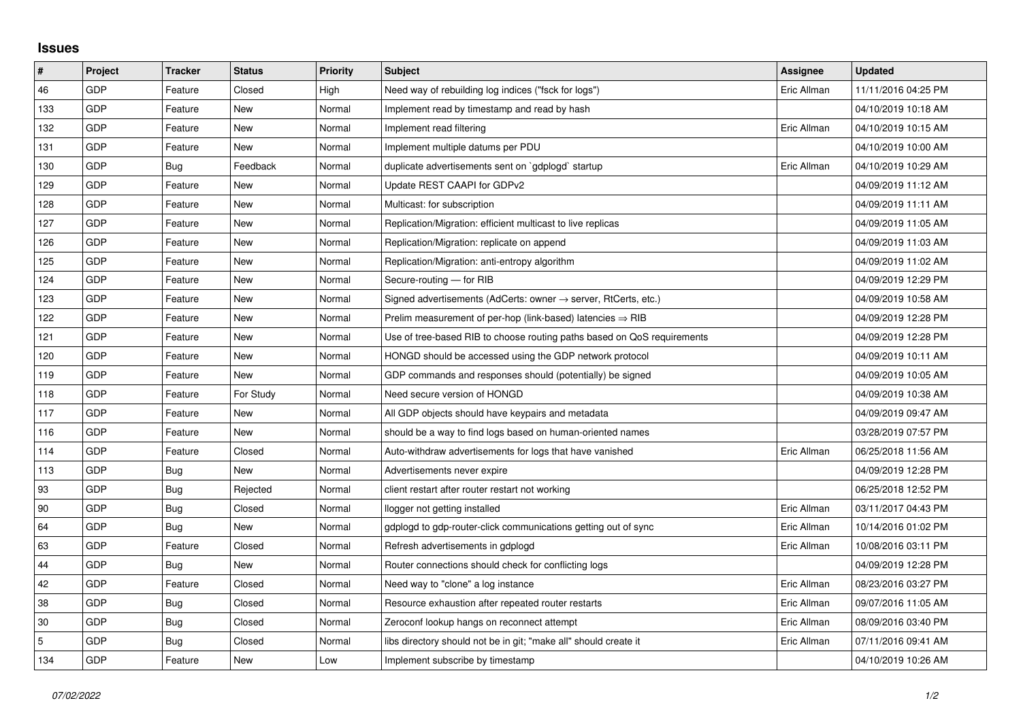## **Issues**

| $\vert$ #  | Project | <b>Tracker</b> | <b>Status</b> | <b>Priority</b> | <b>Subject</b>                                                             | Assignee    | <b>Updated</b>      |
|------------|---------|----------------|---------------|-----------------|----------------------------------------------------------------------------|-------------|---------------------|
| 46         | GDP     | Feature        | Closed        | High            | Need way of rebuilding log indices ("fsck for logs")                       | Eric Allman | 11/11/2016 04:25 PM |
| 133        | GDP     | Feature        | New           | Normal          | Implement read by timestamp and read by hash                               |             | 04/10/2019 10:18 AM |
| 132        | GDP     | Feature        | New           | Normal          | Implement read filtering                                                   | Eric Allman | 04/10/2019 10:15 AM |
| 131        | GDP     | Feature        | New           | Normal          | Implement multiple datums per PDU                                          |             | 04/10/2019 10:00 AM |
| 130        | GDP     | Bug            | Feedback      | Normal          | duplicate advertisements sent on `gdplogd` startup                         | Eric Allman | 04/10/2019 10:29 AM |
| 129        | GDP     | Feature        | New           | Normal          | Update REST CAAPI for GDPv2                                                |             | 04/09/2019 11:12 AM |
| 128        | GDP     | Feature        | <b>New</b>    | Normal          | Multicast: for subscription                                                |             | 04/09/2019 11:11 AM |
| 127        | GDP     | Feature        | New           | Normal          | Replication/Migration: efficient multicast to live replicas                |             | 04/09/2019 11:05 AM |
| 126        | GDP     | Feature        | New           | Normal          | Replication/Migration: replicate on append                                 |             | 04/09/2019 11:03 AM |
| 125        | GDP     | Feature        | New           | Normal          | Replication/Migration: anti-entropy algorithm                              |             | 04/09/2019 11:02 AM |
| 124        | GDP     | Feature        | New           | Normal          | Secure-routing - for RIB                                                   |             | 04/09/2019 12:29 PM |
| 123        | GDP     | Feature        | New           | Normal          | Signed advertisements (AdCerts: owner $\rightarrow$ server, RtCerts, etc.) |             | 04/09/2019 10:58 AM |
| 122        | GDP     | Feature        | <b>New</b>    | Normal          | Prelim measurement of per-hop (link-based) latencies $\Rightarrow$ RIB     |             | 04/09/2019 12:28 PM |
| 121        | GDP     | Feature        | New           | Normal          | Use of tree-based RIB to choose routing paths based on QoS requirements    |             | 04/09/2019 12:28 PM |
| 120        | GDP     | Feature        | New           | Normal          | HONGD should be accessed using the GDP network protocol                    |             | 04/09/2019 10:11 AM |
| 119        | GDP     | Feature        | New           | Normal          | GDP commands and responses should (potentially) be signed                  |             | 04/09/2019 10:05 AM |
| 118        | GDP     | Feature        | For Study     | Normal          | Need secure version of HONGD                                               |             | 04/09/2019 10:38 AM |
| 117        | GDP     | Feature        | New           | Normal          | All GDP objects should have keypairs and metadata                          |             | 04/09/2019 09:47 AM |
| 116        | GDP     | Feature        | New           | Normal          | should be a way to find logs based on human-oriented names                 |             | 03/28/2019 07:57 PM |
| 114        | GDP     | Feature        | Closed        | Normal          | Auto-withdraw advertisements for logs that have vanished                   | Eric Allman | 06/25/2018 11:56 AM |
| 113        | GDP     | Bug            | New           | Normal          | Advertisements never expire                                                |             | 04/09/2019 12:28 PM |
| 93         | GDP     | Bug            | Rejected      | Normal          | client restart after router restart not working                            |             | 06/25/2018 12:52 PM |
| 90         | GDP     | Bug            | Closed        | Normal          | llogger not getting installed                                              | Eric Allman | 03/11/2017 04:43 PM |
| 64         | GDP     | Bug            | New           | Normal          | gdplogd to gdp-router-click communications getting out of sync             | Eric Allman | 10/14/2016 01:02 PM |
| 63         | GDP     | Feature        | Closed        | Normal          | Refresh advertisements in gdplogd                                          | Eric Allman | 10/08/2016 03:11 PM |
| 44         | GDP     | Bug            | New           | Normal          | Router connections should check for conflicting logs                       |             | 04/09/2019 12:28 PM |
| 42         | GDP     | Feature        | Closed        | Normal          | Need way to "clone" a log instance                                         | Eric Allman | 08/23/2016 03:27 PM |
| 38         | GDP     | Bug            | Closed        | Normal          | Resource exhaustion after repeated router restarts                         | Eric Allman | 09/07/2016 11:05 AM |
| 30         | GDP     | Bug            | Closed        | Normal          | Zeroconf lookup hangs on reconnect attempt                                 | Eric Allman | 08/09/2016 03:40 PM |
| $\sqrt{5}$ | GDP     | Bug            | Closed        | Normal          | libs directory should not be in git; "make all" should create it           | Eric Allman | 07/11/2016 09:41 AM |
| 134        | GDP     | Feature        | New           | Low             | Implement subscribe by timestamp                                           |             | 04/10/2019 10:26 AM |